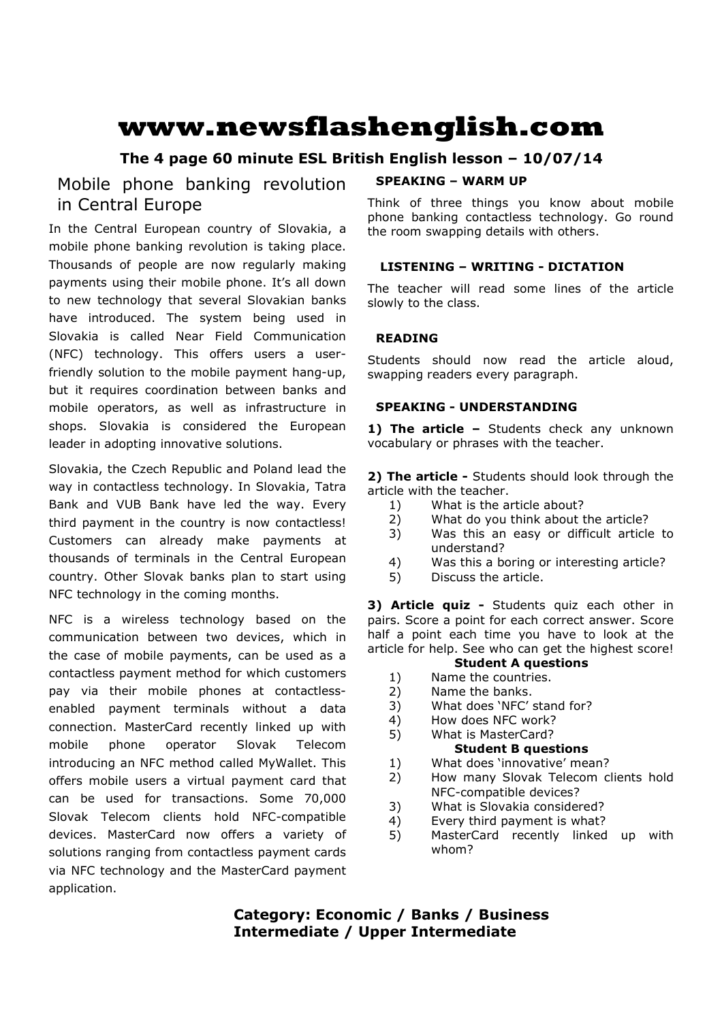# **www.newsflashenglish.com**

# **The 4 page 60 minute ESL British English lesson – 10/07/14**

# Mobile phone banking revolution in Central Europe

In the Central European country of Slovakia, a mobile phone banking revolution is taking place. Thousands of people are now regularly making payments using their mobile phone. It's all down to new technology that several Slovakian banks have introduced. The system being used in Slovakia is called Near Field Communication (NFC) technology. This offers users a userfriendly solution to the mobile payment hang-up, but it requires coordination between banks and mobile operators, as well as infrastructure in shops. Slovakia is considered the European leader in adopting innovative solutions.

Slovakia, the Czech Republic and Poland lead the way in contactless technology. In Slovakia, Tatra Bank and VUB Bank have led the way. Every third payment in the country is now contactless! Customers can already make payments at thousands of terminals in the Central European country. Other Slovak banks plan to start using NFC technology in the coming months.

NFC is a wireless technology based on the communication between two devices, which in the case of mobile payments, can be used as a contactless payment method for which customers pay via their mobile phones at contactlessenabled payment terminals without a data connection. MasterCard recently linked up with mobile phone operator Slovak Telecom introducing an NFC method called MyWallet. This offers mobile users a virtual payment card that can be used for transactions. Some 70,000 Slovak Telecom clients hold NFC-compatible devices. MasterCard now offers a variety of solutions ranging from contactless payment cards via NFC technology and the MasterCard payment application.

#### **SPEAKING – WARM UP**

Think of three things you know about mobile phone banking contactless technology. Go round the room swapping details with others.

# **LISTENING – WRITING - DICTATION**

The teacher will read some lines of the article slowly to the class.

### **READING**

Students should now read the article aloud, swapping readers every paragraph.

#### **SPEAKING - UNDERSTANDING**

1) The article - Students check any unknown vocabulary or phrases with the teacher.

**2) The article -** Students should look through the article with the teacher.

- 1) What is the article about?
- 2) What do you think about the article?
- 3) Was this an easy or difficult article to understand?
- 4) Was this a boring or interesting article?
- 5) Discuss the article.

**3) Article quiz -** Students quiz each other in pairs. Score a point for each correct answer. Score half a point each time you have to look at the article for help. See who can get the highest score!

#### **Student A questions**

- 1) Name the countries.
- 2) Name the banks.
- 3) What does 'NFC' stand for?
- 4) How does NFC work?
- 5) What is MasterCard? **Student B questions**
- 1) What does 'innovative' mean?
- 2) How many Slovak Telecom clients hold NFC-compatible devices?
- 3) What is Slovakia considered?
- 4) Every third payment is what?
- 5) MasterCard recently linked up with whom?

**Category: Economic / Banks / Business Intermediate / Upper Intermediate**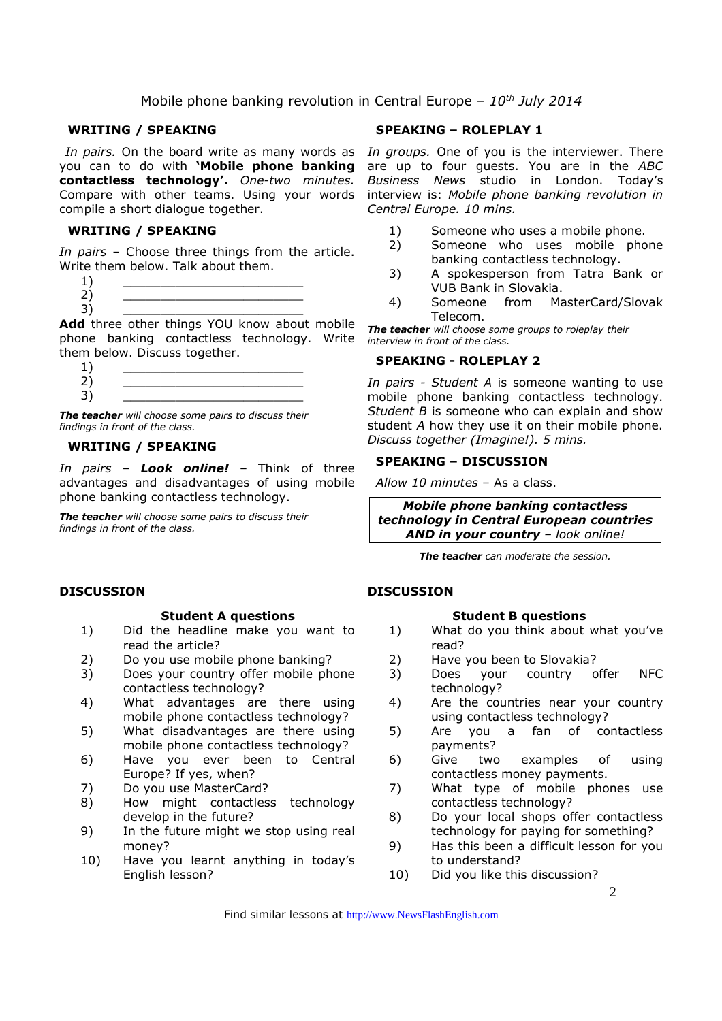#### **WRITING / SPEAKING**

you can to do with **'Mobile phone banking contactless technology'.** *One-two minutes.*  Compare with other teams. Using your words compile a short dialogue together.

#### **WRITING / SPEAKING**

*In pairs* – Choose three things from the article. Write them below. Talk about them.

**Add** three other things YOU know about mobile phone banking contactless technology. Write them below. Discuss together.

 $1)$   $\qquad \qquad$ 2) \_\_\_\_\_\_\_\_\_\_\_\_\_\_\_\_\_\_\_\_\_\_\_\_ 3) \_\_\_\_\_\_\_\_\_\_\_\_\_\_\_\_\_\_\_\_\_\_\_\_

*The teacher will choose some pairs to discuss their findings in front of the class.* 

#### **WRITING / SPEAKING**

*In pairs – Look online!* – Think of three advantages and disadvantages of using mobile phone banking contactless technology.

*The teacher will choose some pairs to discuss their findings in front of the class.* 

#### **SPEAKING – ROLEPLAY 1**

In pairs. On the board write as many words as In groups. One of you is the interviewer. There are up to four guests. You are in the *ABC Business News* studio in London. Today's interview is: *Mobile phone banking revolution in Central Europe. 10 mins.* 

- 1) Someone who uses a mobile phone.
- 2) Someone who uses mobile phone banking contactless technology.
- 3) A spokesperson from Tatra Bank or VUB Bank in Slovakia.
- 4) Someone from MasterCard/Slovak Telecom.

*The teacher will choose some groups to roleplay their interview in front of the class.* 

#### **SPEAKING - ROLEPLAY 2**

*In pairs - Student A* is someone wanting to use mobile phone banking contactless technology. *Student B* is someone who can explain and show student *A* how they use it on their mobile phone. *Discuss together (Imagine!). 5 mins.* 

### **SPEAKING – DISCUSSION**

*Allow 10 minutes* – As a class.

*Mobile phone banking contactless technology in Central European countries AND in your country – look online!*

*The teacher can moderate the session.* 

#### **DISCUSSION**

#### **Student B questions**

- 1) What do you think about what you've read?
- 2) Have you been to Slovakia?
- 3) Does your country offer NFC technology?
- 4) Are the countries near your country using contactless technology?
- 5) Are you a fan of contactless payments?
- 6) Give two examples of using contactless money payments.
- 7) What type of mobile phones use contactless technology?
- 8) Do your local shops offer contactless technology for paying for something?
- 9) Has this been a difficult lesson for you to understand?
- 10) Did you like this discussion?

Find similar lessons at http://www.NewsFlashEnglish.com

#### **DISCUSSION**

#### **Student A questions**

- 1) Did the headline make you want to read the article?
- 2) Do you use mobile phone banking?
- 3) Does your country offer mobile phone contactless technology?
- 4) What advantages are there using mobile phone contactless technology?
- 5) What disadvantages are there using mobile phone contactless technology?
- 6) Have you ever been to Central Europe? If yes, when?
- 7) Do you use MasterCard?
- 8) How might contactless technology develop in the future?
- 9) In the future might we stop using real money?
- 10) Have you learnt anything in today's English lesson?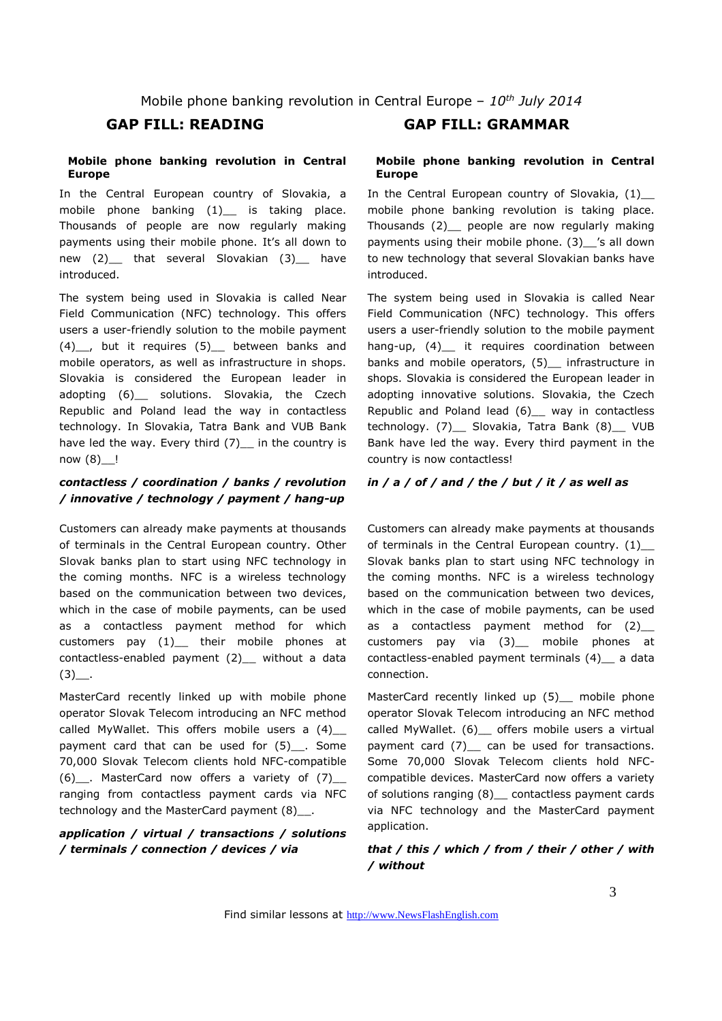#### **Mobile phone banking revolution in Central Europe**

In the Central European country of Slovakia, a mobile phone banking (1) is taking place. Thousands of people are now regularly making payments using their mobile phone. It's all down to new (2)\_\_ that several Slovakian (3)\_\_ have introduced.

The system being used in Slovakia is called Near Field Communication (NFC) technology. This offers users a user-friendly solution to the mobile payment (4)\_\_, but it requires (5)\_\_ between banks and mobile operators, as well as infrastructure in shops. Slovakia is considered the European leader in adopting (6) solutions. Slovakia, the Czech Republic and Poland lead the way in contactless technology. In Slovakia, Tatra Bank and VUB Bank have led the way. Every third (7) in the country is now (8)\_\_!

#### *contactless / coordination / banks / revolution / innovative / technology / payment / hang-up*

Customers can already make payments at thousands of terminals in the Central European country. Other Slovak banks plan to start using NFC technology in the coming months. NFC is a wireless technology based on the communication between two devices, which in the case of mobile payments, can be used as a contactless payment method for which customers pay (1)\_\_ their mobile phones at contactless-enabled payment (2)\_\_ without a data  $(3)$ .

MasterCard recently linked up with mobile phone operator Slovak Telecom introducing an NFC method called MyWallet. This offers mobile users a  $(4)$ payment card that can be used for (5)\_\_. Some 70,000 Slovak Telecom clients hold NFC-compatible (6) . MasterCard now offers a variety of  $(7)$ ranging from contactless payment cards via NFC technology and the MasterCard payment (8)\_\_.

# *application / virtual / transactions / solutions / terminals / connection / devices / via*

# **GAP FILL: READING GAP FILL: GRAMMAR**

#### **Mobile phone banking revolution in Central Europe**

In the Central European country of Slovakia, (1) mobile phone banking revolution is taking place. Thousands (2)\_\_ people are now regularly making payments using their mobile phone. (3)\_\_'s all down to new technology that several Slovakian banks have introduced.

The system being used in Slovakia is called Near Field Communication (NFC) technology. This offers users a user-friendly solution to the mobile payment hang-up,  $(4)$  it requires coordination between banks and mobile operators, (5) infrastructure in shops. Slovakia is considered the European leader in adopting innovative solutions. Slovakia, the Czech Republic and Poland lead (6)\_\_ way in contactless technology. (7)\_\_ Slovakia, Tatra Bank (8)\_\_ VUB Bank have led the way. Every third payment in the country is now contactless!

#### *in / a / of / and / the / but / it / as well as*

Customers can already make payments at thousands of terminals in the Central European country. (1) Slovak banks plan to start using NFC technology in the coming months. NFC is a wireless technology based on the communication between two devices, which in the case of mobile payments, can be used as a contactless payment method for (2)\_\_ customers pay via (3)\_\_ mobile phones at contactless-enabled payment terminals (4) a data connection.

MasterCard recently linked up (5) mobile phone operator Slovak Telecom introducing an NFC method called MyWallet. (6) \_ offers mobile users a virtual payment card (7) can be used for transactions. Some 70,000 Slovak Telecom clients hold NFCcompatible devices. MasterCard now offers a variety of solutions ranging (8)\_\_ contactless payment cards via NFC technology and the MasterCard payment application.

#### *that / this / which / from / their / other / with / without*